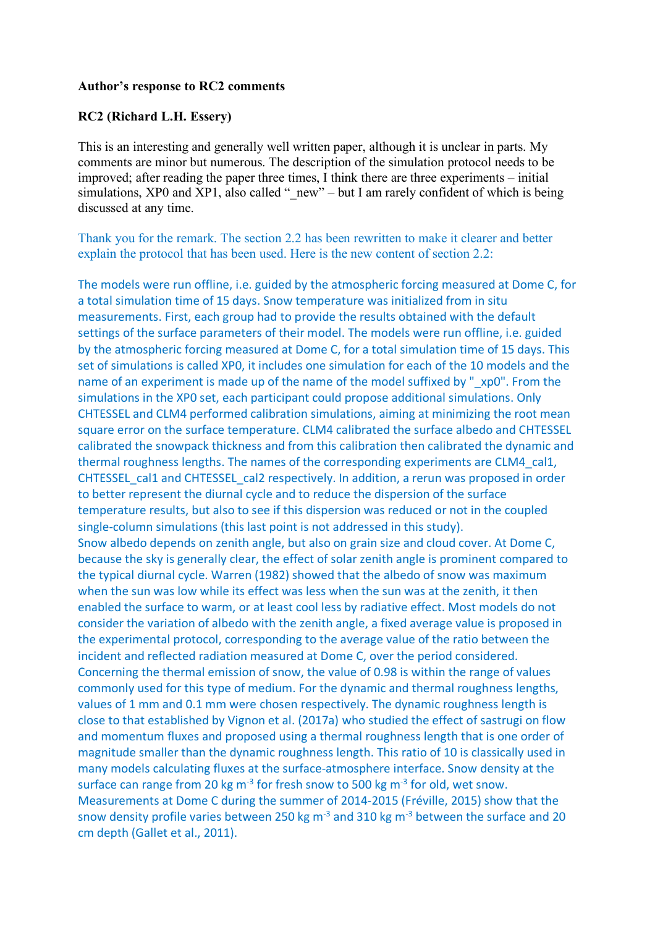#### **Author's response to RC2 comments**

#### **RC2 (Richard L.H. Essery)**

This is an interesting and generally well written paper, although it is unclear in parts. My comments are minor but numerous. The description of the simulation protocol needs to be improved; after reading the paper three times, I think there are three experiments – initial simulations, XP0 and XP1, also called " $new$ " – but I am rarely confident of which is being discussed at any time.

Thank you for the remark. The section 2.2 has been rewritten to make it clearer and better explain the protocol that has been used. Here is the new content of section 2.2:

The models were run offline, i.e. guided by the atmospheric forcing measured at Dome C, for a total simulation time of 15 days. Snow temperature was initialized from in situ measurements. First, each group had to provide the results obtained with the default settings of the surface parameters of their model. The models were run offline, i.e. guided by the atmospheric forcing measured at Dome C, for a total simulation time of 15 days. This set of simulations is called XP0, it includes one simulation for each of the 10 models and the name of an experiment is made up of the name of the model suffixed by "axp0". From the simulations in the XP0 set, each participant could propose additional simulations. Only CHTESSEL and CLM4 performed calibration simulations, aiming at minimizing the root mean square error on the surface temperature. CLM4 calibrated the surface albedo and CHTESSEL calibrated the snowpack thickness and from this calibration then calibrated the dynamic and thermal roughness lengths. The names of the corresponding experiments are CLM4\_cal1, CHTESSEL\_cal1 and CHTESSEL\_cal2 respectively. In addition, a rerun was proposed in order to better represent the diurnal cycle and to reduce the dispersion of the surface temperature results, but also to see if this dispersion was reduced or not in the coupled single-column simulations (this last point is not addressed in this study). Snow albedo depends on zenith angle, but also on grain size and cloud cover. At Dome C, because the sky is generally clear, the effect of solar zenith angle is prominent compared to the typical diurnal cycle. Warren (1982) showed that the albedo of snow was maximum when the sun was low while its effect was less when the sun was at the zenith, it then enabled the surface to warm, or at least cool less by radiative effect. Most models do not consider the variation of albedo with the zenith angle, a fixed average value is proposed in the experimental protocol, corresponding to the average value of the ratio between the incident and reflected radiation measured at Dome C, over the period considered. Concerning the thermal emission of snow, the value of 0.98 is within the range of values commonly used for this type of medium. For the dynamic and thermal roughness lengths, values of 1 mm and 0.1 mm were chosen respectively. The dynamic roughness length is close to that established by Vignon et al. (2017a) who studied the effect of sastrugi on flow and momentum fluxes and proposed using a thermal roughness length that is one order of magnitude smaller than the dynamic roughness length. This ratio of 10 is classically used in many models calculating fluxes at the surface-atmosphere interface. Snow density at the surface can range from 20 kg  $m<sup>3</sup>$  for fresh snow to 500 kg  $m<sup>3</sup>$  for old, wet snow. Measurements at Dome C during the summer of 2014-2015 (Fréville, 2015) show that the snow density profile varies between 250 kg m<sup>-3</sup> and 310 kg m<sup>-3</sup> between the surface and 20 cm depth (Gallet et al., 2011).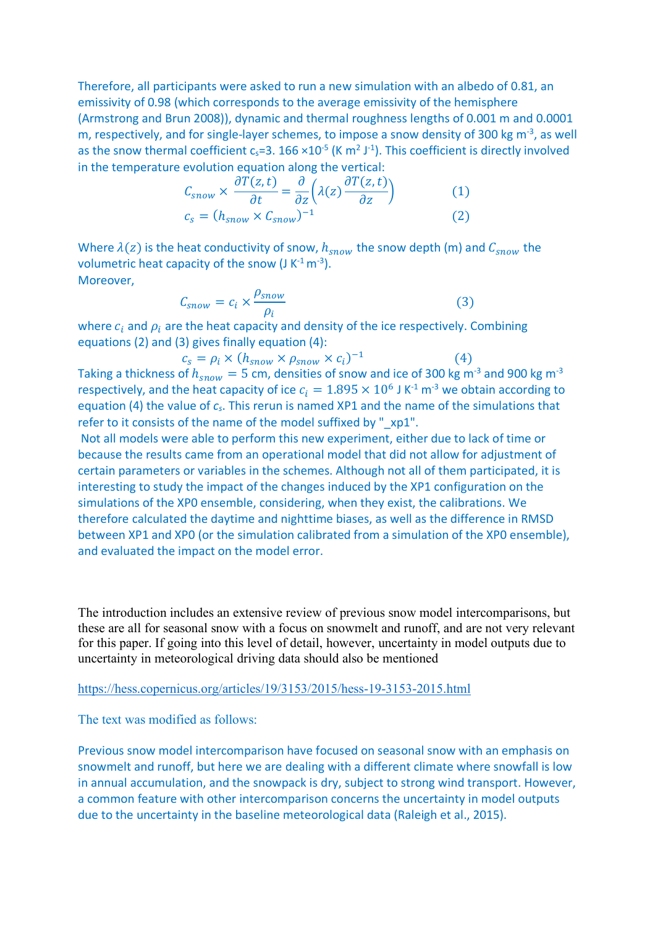Therefore, all participants were asked to run a new simulation with an albedo of 0.81, an emissivity of 0.98 (which corresponds to the average emissivity of the hemisphere (Armstrong and Brun 2008)), dynamic and thermal roughness lengths of 0.001 m and 0.0001 m, respectively, and for single-layer schemes, to impose a snow density of 300 kg  $m<sup>-3</sup>$ , as well as the snow thermal coefficient  $c_s = 3.166 \times 10^{-5}$  (K m<sup>2</sup> J<sup>-1</sup>). This coefficient is directly involved in the temperature evolution equation along the vertical:

$$
C_{snow} \times \frac{\partial T(z, t)}{\partial t} = \frac{\partial}{\partial z} \left( \lambda(z) \frac{\partial T(z, t)}{\partial z} \right)
$$
(1)  

$$
c_s = (h_{snow} \times C_{snow})^{-1}
$$
(2)

Where  $\lambda(z)$  is the heat conductivity of snow,  $h_{snow}$  the snow depth (m) and  $C_{snow}$  the volumetric heat capacity of the snow  $(J K^{-1} m^{-3})$ . Moreover,

$$
C_{snow} = c_i \times \frac{\rho_{snow}}{\rho_i}
$$
 (3)

where  $c_i$  and  $\rho_i$  are the heat capacity and density of the ice respectively. Combining equations (2) and (3) gives finally equation (4):

$$
c_s = \rho_i \times (h_{snow} \times \rho_{snow} \times c_i)^{-1}
$$
 (4)

Taking a thickness of  $h_{snow} = 5$  cm, densities of snow and ice of 300 kg m<sup>-3</sup> and 900 kg m<sup>-3</sup> respectively, and the heat capacity of ice  $c_i = 1.895 \times 10^6$  J K<sup>-1</sup> m<sup>-3</sup> we obtain according to equation (4) the value of *cs*. This rerun is named XP1 and the name of the simulations that refer to it consists of the name of the model suffixed by " xp1".

Not all models were able to perform this new experiment, either due to lack of time or because the results came from an operational model that did not allow for adjustment of certain parameters or variables in the schemes. Although not all of them participated, it is interesting to study the impact of the changes induced by the XP1 configuration on the simulations of the XP0 ensemble, considering, when they exist, the calibrations. We therefore calculated the daytime and nighttime biases, as well as the difference in RMSD between XP1 and XP0 (or the simulation calibrated from a simulation of the XP0 ensemble), and evaluated the impact on the model error.

The introduction includes an extensive review of previous snow model intercomparisons, but these are all for seasonal snow with a focus on snowmelt and runoff, and are not very relevant for this paper. If going into this level of detail, however, uncertainty in model outputs due to uncertainty in meteorological driving data should also be mentioned

https://hess.copernicus.org/articles/19/3153/2015/hess-19-3153-2015.html

The text was modified as follows:

Previous snow model intercomparison have focused on seasonal snow with an emphasis on snowmelt and runoff, but here we are dealing with a different climate where snowfall is low in annual accumulation, and the snowpack is dry, subject to strong wind transport. However, a common feature with other intercomparison concerns the uncertainty in model outputs due to the uncertainty in the baseline meteorological data (Raleigh et al., 2015).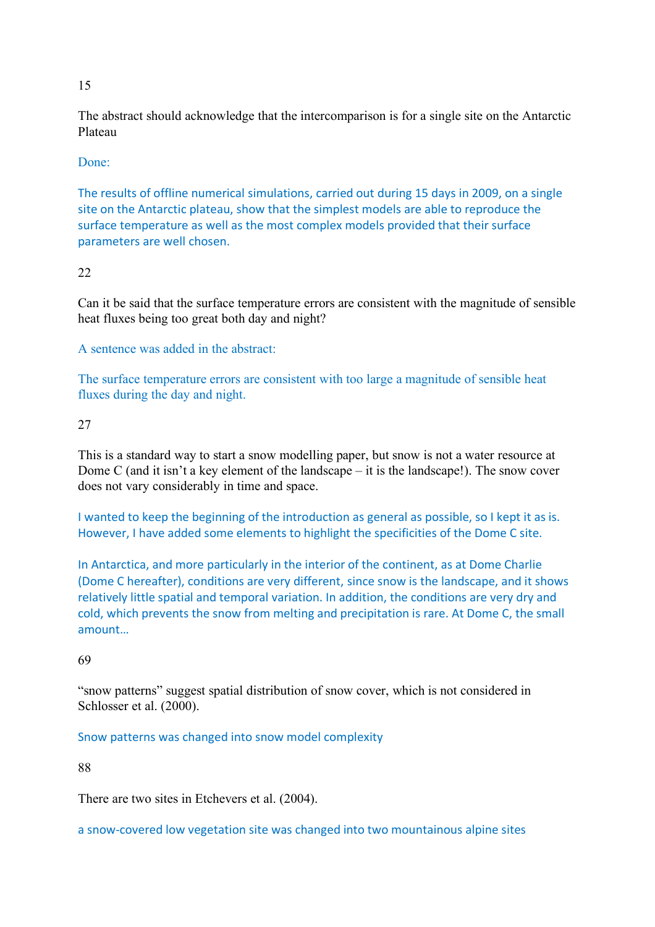### 15

The abstract should acknowledge that the intercomparison is for a single site on the Antarctic Plateau

### Done:

The results of offline numerical simulations, carried out during 15 days in 2009, on a single site on the Antarctic plateau, show that the simplest models are able to reproduce the surface temperature as well as the most complex models provided that their surface parameters are well chosen.

## 22

Can it be said that the surface temperature errors are consistent with the magnitude of sensible heat fluxes being too great both day and night?

A sentence was added in the abstract:

The surface temperature errors are consistent with too large a magnitude of sensible heat fluxes during the day and night.

### 27

This is a standard way to start a snow modelling paper, but snow is not a water resource at Dome C (and it isn't a key element of the landscape – it is the landscape!). The snow cover does not vary considerably in time and space.

I wanted to keep the beginning of the introduction as general as possible, so I kept it as is. However, I have added some elements to highlight the specificities of the Dome C site.

In Antarctica, and more particularly in the interior of the continent, as at Dome Charlie (Dome C hereafter), conditions are very different, since snow is the landscape, and it shows relatively little spatial and temporal variation. In addition, the conditions are very dry and cold, which prevents the snow from melting and precipitation is rare. At Dome C, the small amount…

### 69

"snow patterns" suggest spatial distribution of snow cover, which is not considered in Schlosser et al. (2000).

### Snow patterns was changed into snow model complexity

88

There are two sites in Etchevers et al. (2004).

a snow-covered low vegetation site was changed into two mountainous alpine sites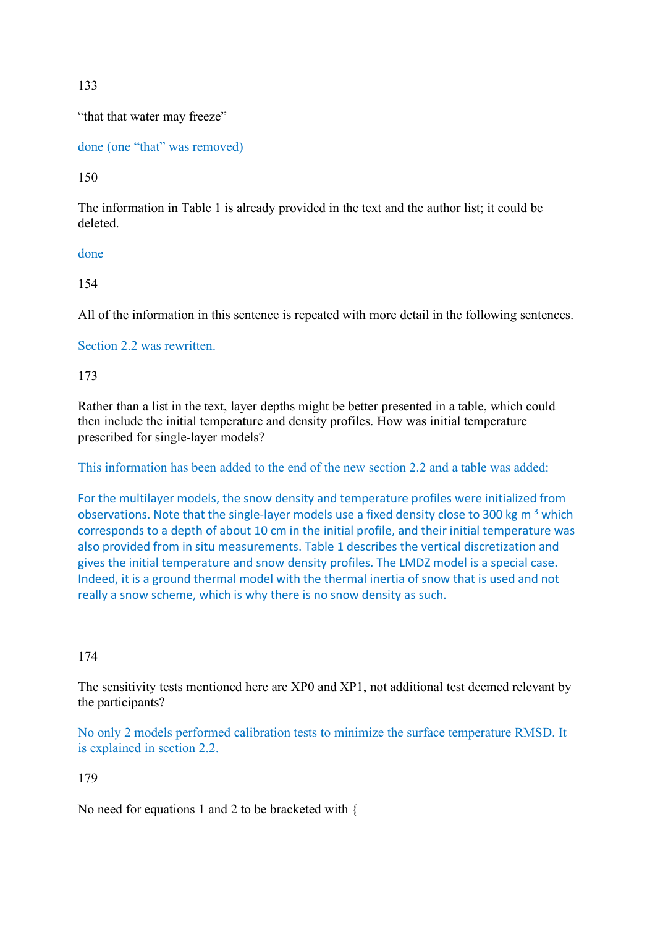133

"that that water may freeze"

done (one "that" was removed)

150

The information in Table 1 is already provided in the text and the author list; it could be deleted.

done

154

All of the information in this sentence is repeated with more detail in the following sentences.

Section 2.2 was rewritten.

173

Rather than a list in the text, layer depths might be better presented in a table, which could then include the initial temperature and density profiles. How was initial temperature prescribed for single-layer models?

This information has been added to the end of the new section 2.2 and a table was added:

For the multilayer models, the snow density and temperature profiles were initialized from observations. Note that the single-layer models use a fixed density close to 300 kg m-3 which corresponds to a depth of about 10 cm in the initial profile, and their initial temperature was also provided from in situ measurements. Table 1 describes the vertical discretization and gives the initial temperature and snow density profiles. The LMDZ model is a special case. Indeed, it is a ground thermal model with the thermal inertia of snow that is used and not really a snow scheme, which is why there is no snow density as such.

# 174

The sensitivity tests mentioned here are XP0 and XP1, not additional test deemed relevant by the participants?

No only 2 models performed calibration tests to minimize the surface temperature RMSD. It is explained in section 2.2.

179

No need for equations 1 and 2 to be bracketed with {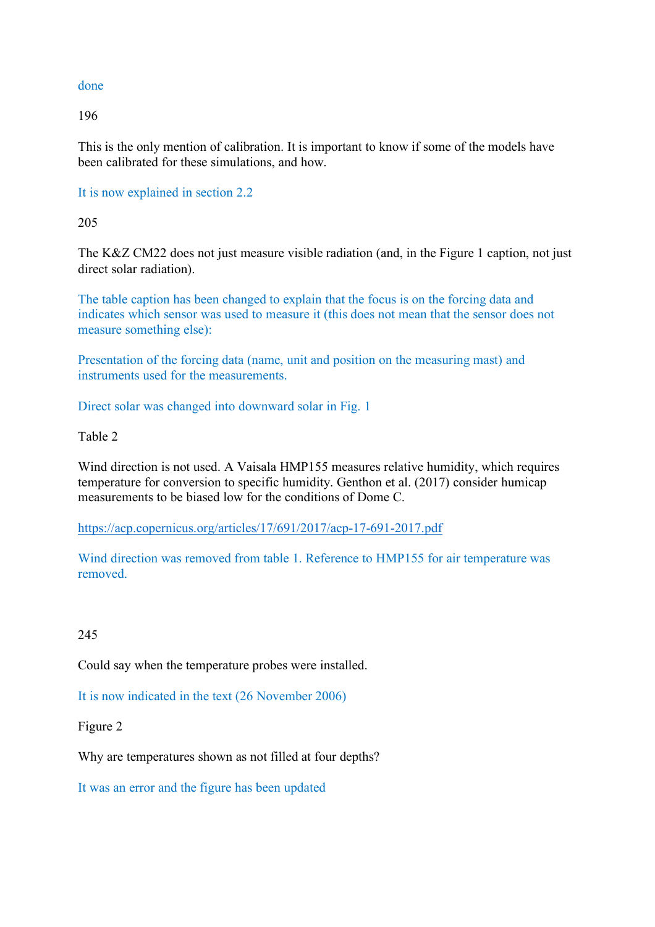#### done

196

This is the only mention of calibration. It is important to know if some of the models have been calibrated for these simulations, and how.

It is now explained in section 2.2

205

The K&Z CM22 does not just measure visible radiation (and, in the Figure 1 caption, not just direct solar radiation).

The table caption has been changed to explain that the focus is on the forcing data and indicates which sensor was used to measure it (this does not mean that the sensor does not measure something else):

Presentation of the forcing data (name, unit and position on the measuring mast) and instruments used for the measurements.

Direct solar was changed into downward solar in Fig. 1

Table 2

Wind direction is not used. A Vaisala HMP155 measures relative humidity, which requires temperature for conversion to specific humidity. Genthon et al. (2017) consider humicap measurements to be biased low for the conditions of Dome C.

https://acp.copernicus.org/articles/17/691/2017/acp-17-691-2017.pdf

Wind direction was removed from table 1. Reference to HMP155 for air temperature was removed.

245

Could say when the temperature probes were installed.

It is now indicated in the text (26 November 2006)

Figure 2

Why are temperatures shown as not filled at four depths?

It was an error and the figure has been updated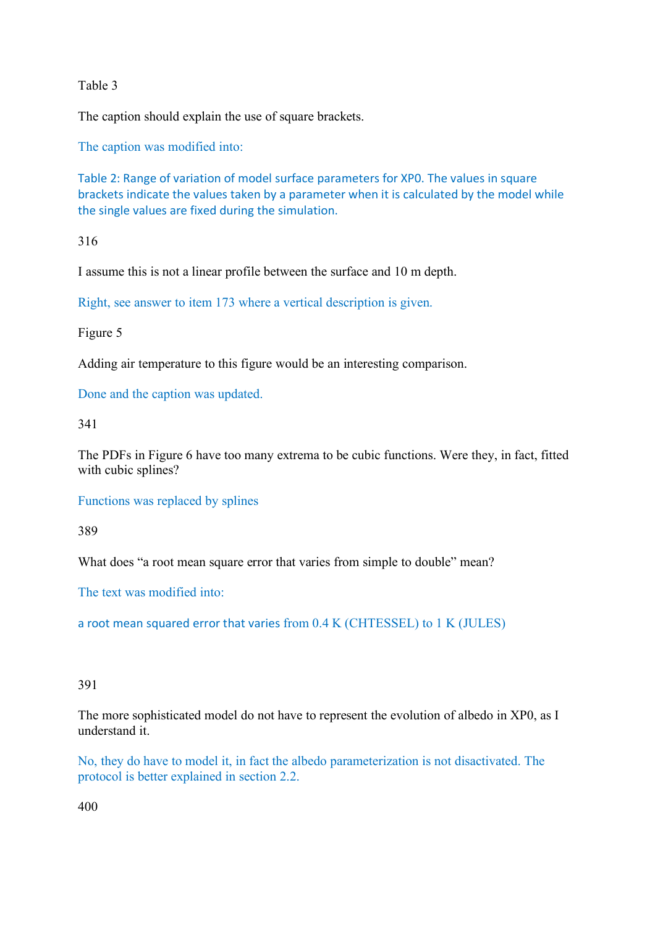Table 3

The caption should explain the use of square brackets.

The caption was modified into:

Table 2: Range of variation of model surface parameters for XP0. The values in square brackets indicate the values taken by a parameter when it is calculated by the model while the single values are fixed during the simulation.

316

I assume this is not a linear profile between the surface and 10 m depth.

Right, see answer to item 173 where a vertical description is given.

Figure 5

Adding air temperature to this figure would be an interesting comparison.

Done and the caption was updated.

341

The PDFs in Figure 6 have too many extrema to be cubic functions. Were they, in fact, fitted with cubic splines?

Functions was replaced by splines

389

What does "a root mean square error that varies from simple to double" mean?

The text was modified into:

a root mean squared error that varies from 0.4 K (CHTESSEL) to 1 K (JULES)

### 391

The more sophisticated model do not have to represent the evolution of albedo in XP0, as I understand it.

No, they do have to model it, in fact the albedo parameterization is not disactivated. The protocol is better explained in section 2.2.

400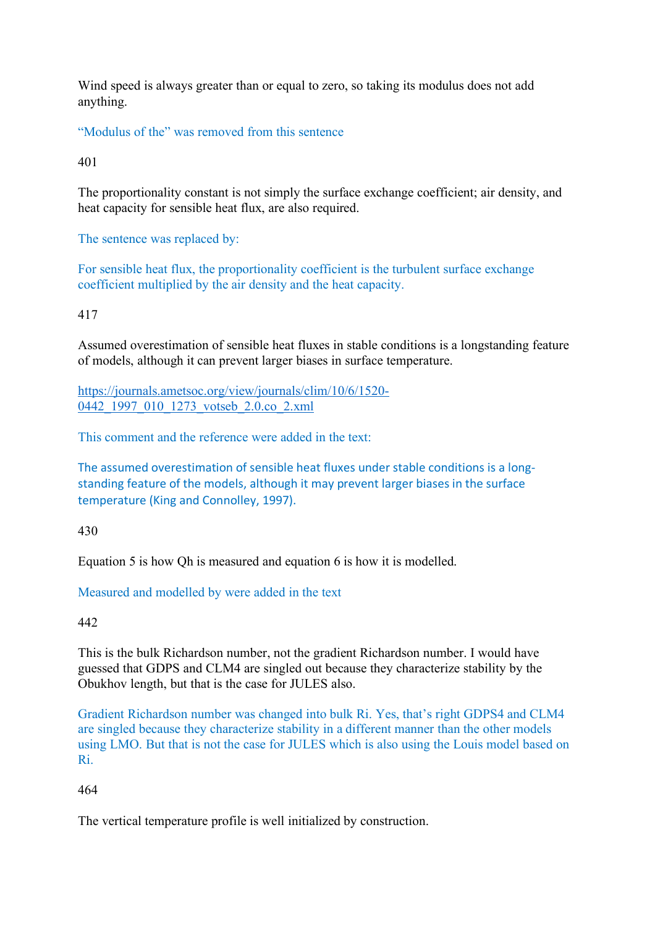Wind speed is always greater than or equal to zero, so taking its modulus does not add anything.

"Modulus of the" was removed from this sentence

401

The proportionality constant is not simply the surface exchange coefficient; air density, and heat capacity for sensible heat flux, are also required.

The sentence was replaced by:

For sensible heat flux, the proportionality coefficient is the turbulent surface exchange coefficient multiplied by the air density and the heat capacity.

## 417

Assumed overestimation of sensible heat fluxes in stable conditions is a longstanding feature of models, although it can prevent larger biases in surface temperature.

https://journals.ametsoc.org/view/journals/clim/10/6/1520- 0442\_1997\_010\_1273\_votseb\_2.0.co\_2.xml

This comment and the reference were added in the text:

The assumed overestimation of sensible heat fluxes under stable conditions is a longstanding feature of the models, although it may prevent larger biases in the surface temperature (King and Connolley, 1997).

430

Equation 5 is how Qh is measured and equation 6 is how it is modelled.

# Measured and modelled by were added in the text

### 442

This is the bulk Richardson number, not the gradient Richardson number. I would have guessed that GDPS and CLM4 are singled out because they characterize stability by the Obukhov length, but that is the case for JULES also.

Gradient Richardson number was changed into bulk Ri. Yes, that's right GDPS4 and CLM4 are singled because they characterize stability in a different manner than the other models using LMO. But that is not the case for JULES which is also using the Louis model based on Ri.

# 464

The vertical temperature profile is well initialized by construction.